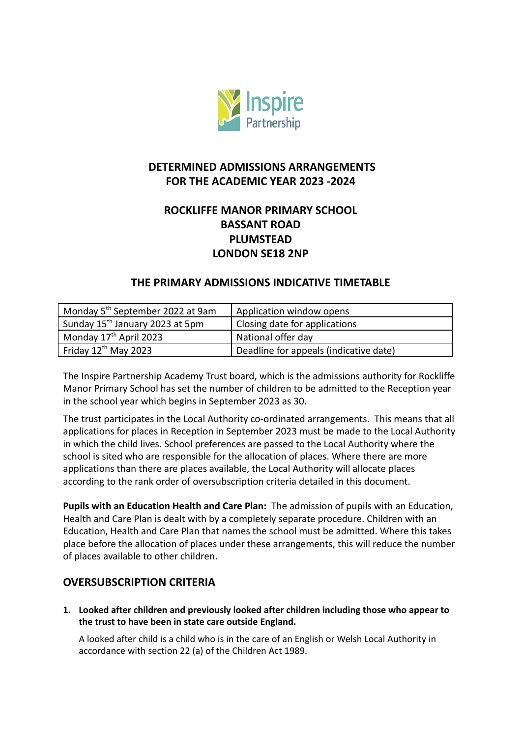

# **DETERMINED ADMISSIONS ARRANGEMENTS FOR THE ACADEMIC YEAR 2023 -2024**

# **ROCKLIFFE MANOR PRIMARY SCHOOL BASSANT ROAD PLUMSTEAD LONDON SE18 2NP**

### **THE PRIMARY ADMISSIONS INDICATIVE TIMETABLE**

| Monday 5 <sup>th</sup> September 2022 at 9am | Application window opens               |
|----------------------------------------------|----------------------------------------|
| Sunday 15 <sup>th</sup> January 2023 at 5pm  | Closing date for applications          |
| Monday 17 <sup>th</sup> April 2023           | National offer day                     |
| Friday $12^{th}$ May 2023                    | Deadline for appeals (indicative date) |

The Inspire Partnership Academy Trust board, which is the admissions authority for Rockliffe Manor Primary School has set the number of children to be admitted to the Reception year in the school year which begins in September 2023 as 30.

The trust participates in the Local Authority co-ordinated arrangements. This means that all applications for places in Reception in September 2023 must be made to the Local Authority in which the child lives. School preferences are passed to the Local Authority where the school is sited who are responsible for the allocation of places. Where there are more applications than there are places available, the Local Authority will allocate places according to the rank order of oversubscription criteria detailed in this document.

**Pupils with an Education Health and Care Plan:** The admission of pupils with an Education, Health and Care Plan is dealt with by a completely separate procedure. Children with an Education, Health and Care Plan that names the school must be admitted. Where this takes place before the allocation of places under these arrangements, this will reduce the number of places available to other children.

## **OVERSUBSCRIPTION CRITERIA**

**1. Looked after children and previously looked after children including those who appear to the trust to have been in state care outside England.**

A looked after child is a child who is in the care of an English or Welsh Local Authority in accordance with section 22 (a) of the Children Act 1989.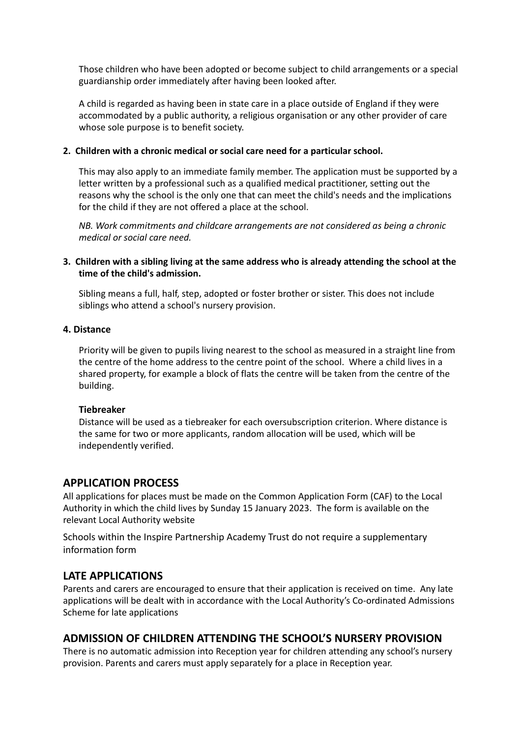Those children who have been adopted or become subject to child arrangements or a special guardianship order immediately after having been looked after.

A child is regarded as having been in state care in a place outside of England if they were accommodated by a public authority, a religious organisation or any other provider of care whose sole purpose is to benefit society.

#### **2. Children with a chronic medical or social care need for a particular school.**

This may also apply to an immediate family member. The application must be supported by a letter written by a professional such as a qualified medical practitioner, setting out the reasons why the school is the only one that can meet the child's needs and the implications for the child if they are not offered a place at the school.

*NB. Work commitments and childcare arrangements are not considered as being a chronic medical or social care need.*

#### **3. Children with a sibling living at the same address who is already attending the school at the time of the child's admission.**

Sibling means a full, half, step, adopted or foster brother or sister. This does not include siblings who attend a school's nursery provision.

#### **4. Distance**

Priority will be given to pupils living nearest to the school as measured in a straight line from the centre of the home address to the centre point of the school. Where a child lives in a shared property, for example a block of flats the centre will be taken from the centre of the building.

#### **Tiebreaker**

Distance will be used as a tiebreaker for each oversubscription criterion. Where distance is the same for two or more applicants, random allocation will be used, which will be independently verified.

### **APPLICATION PROCESS**

All applications for places must be made on the Common Application Form (CAF) to the Local Authority in which the child lives by Sunday 15 January 2023. The form is available on the relevant Local Authority website

Schools within the Inspire Partnership Academy Trust do not require a supplementary information form

### **LATE APPLICATIONS**

Parents and carers are encouraged to ensure that their application is received on time. Any late applications will be dealt with in accordance with the Local Authority's Co-ordinated Admissions Scheme for late applications

### **ADMISSION OF CHILDREN ATTENDING THE SCHOOL'S NURSERY PROVISION**

There is no automatic admission into Reception year for children attending any school's nursery provision. Parents and carers must apply separately for a place in Reception year.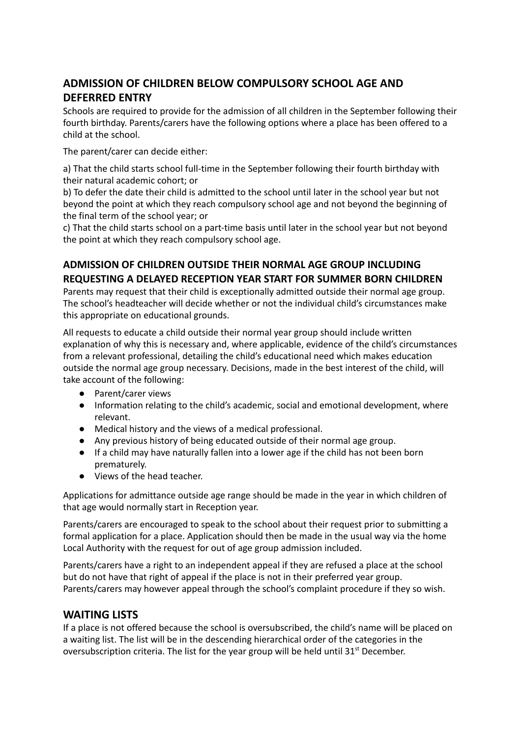# **ADMISSION OF CHILDREN BELOW COMPULSORY SCHOOL AGE AND DEFERRED ENTRY**

Schools are required to provide for the admission of all children in the September following their fourth birthday. Parents/carers have the following options where a place has been offered to a child at the school.

The parent/carer can decide either:

a) That the child starts school full-time in the September following their fourth birthday with their natural academic cohort; or

b) To defer the date their child is admitted to the school until later in the school year but not beyond the point at which they reach compulsory school age and not beyond the beginning of the final term of the school year; or

c) That the child starts school on a part-time basis until later in the school year but not beyond the point at which they reach compulsory school age.

## **ADMISSION OF CHILDREN OUTSIDE THEIR NORMAL AGE GROUP INCLUDING REQUESTING A DELAYED RECEPTION YEAR START FOR SUMMER BORN CHILDREN**

Parents may request that their child is exceptionally admitted outside their normal age group. The school's headteacher will decide whether or not the individual child's circumstances make this appropriate on educational grounds.

All requests to educate a child outside their normal year group should include written explanation of why this is necessary and, where applicable, evidence of the child's circumstances from a relevant professional, detailing the child's educational need which makes education outside the normal age group necessary. Decisions, made in the best interest of the child, will take account of the following:

- Parent/carer views
- Information relating to the child's academic, social and emotional development, where relevant.
- Medical history and the views of a medical professional.
- Any previous history of being educated outside of their normal age group.
- If a child may have naturally fallen into a lower age if the child has not been born prematurely.
- Views of the head teacher.

Applications for admittance outside age range should be made in the year in which children of that age would normally start in Reception year.

Parents/carers are encouraged to speak to the school about their request prior to submitting a formal application for a place. Application should then be made in the usual way via the home Local Authority with the request for out of age group admission included.

Parents/carers have a right to an independent appeal if they are refused a place at the school but do not have that right of appeal if the place is not in their preferred year group. Parents/carers may however appeal through the school's complaint procedure if they so wish.

## **WAITING LISTS**

If a place is not offered because the school is oversubscribed, the child's name will be placed on a waiting list. The list will be in the descending hierarchical order of the categories in the oversubscription criteria. The list for the year group will be held until 31<sup>st</sup> December.